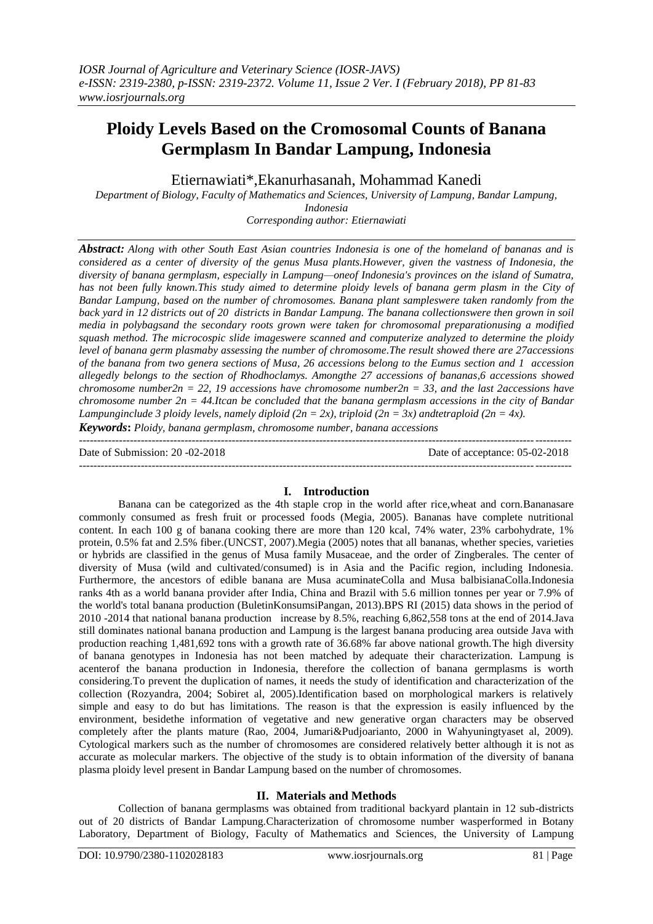# **Ploidy Levels Based on the Cromosomal Counts of Banana Germplasm In Bandar Lampung, Indonesia**

Etiernawiati\*,Ekanurhasanah, Mohammad Kanedi

*Department of Biology, Faculty of Mathematics and Sciences, University of Lampung, Bandar Lampung, Indonesia*

*Corresponding author: Etiernawiati*

*Abstract: Along with other South East Asian countries Indonesia is one of the homeland of bananas and is considered as a center of diversity of the genus Musa plants.However, given the vastness of Indonesia, the diversity of banana germplasm, especially in Lampung—oneof Indonesia's provinces on the island of Sumatra, has not been fully known.This study aimed to determine ploidy levels of banana germ plasm in the City of Bandar Lampung, based on the number of chromosomes. Banana plant sampleswere taken randomly from the back yard in 12 districts out of 20 districts in Bandar Lampung. The banana collectionswere then grown in soil media in polybagsand the secondary roots grown were taken for chromosomal preparationusing a modified squash method. The microcospic slide imageswere scanned and computerize analyzed to determine the ploidy level of banana germ plasmaby assessing the number of chromosome.The result showed there are 27accessions of the banana from two genera sections of Musa, 26 accessions belong to the Eumus section and 1 accession allegedly belongs to the section of Rhodhoclamys. Amongthe 27 accessions of bananas,6 accessions showed chromosome number2n = 22, 19 accessions have chromosome number2n = 33, and the last 2accessions have chromosome number 2n = 44.Itcan be concluded that the banana germplasm accessions in the city of Bandar Lampunginclude* 3 ploidy levels, namely diploid ( $2n = 2x$ ), triploid ( $2n = 3x$ ) andtetraploid ( $2n = 4x$ ). *Keywords***:** *Ploidy, banana germplasm, chromosome number, banana accessions*

Date of Submission: 20 -02-2018 Date of acceptance: 05-02-2018

---------------------------------------------------------------------------------------------------------------------------------------

---------------------------------------------------------------------------------------------------------------------------------------

## **I. Introduction**

Banana can be categorized as the 4th staple crop in the world after rice,wheat and corn.Bananasare commonly consumed as fresh fruit or processed foods (Megia, 2005). Bananas have complete nutritional content. In each 100 g of banana cooking there are more than 120 kcal, 74% water, 23% carbohydrate, 1% protein, 0.5% fat and 2.5% fiber.(UNCST, 2007).Megia (2005) notes that all bananas, whether species, varieties or hybrids are classified in the genus of Musa family Musaceae, and the order of Zingberales. The center of diversity of Musa (wild and cultivated/consumed) is in Asia and the Pacific region, including Indonesia. Furthermore, the ancestors of edible banana are Musa acuminateColla and Musa balbisianaColla.Indonesia ranks 4th as a world banana provider after India, China and Brazil with 5.6 million tonnes per year or 7.9% of the world's total banana production (BuletinKonsumsiPangan, 2013).BPS RI (2015) data shows in the period of 2010 -2014 that national banana production increase by 8.5%, reaching 6,862,558 tons at the end of 2014.Java still dominates national banana production and Lampung is the largest banana producing area outside Java with production reaching 1,481,692 tons with a growth rate of 36.68% far above national growth.The high diversity of banana genotypes in Indonesia has not been matched by adequate their characterization. Lampung is acenterof the banana production in Indonesia, therefore the collection of banana germplasms is worth considering.To prevent the duplication of names, it needs the study of identification and characterization of the collection (Rozyandra, 2004; Sobiret al, 2005).Identification based on morphological markers is relatively simple and easy to do but has limitations. The reason is that the expression is easily influenced by the environment, besidethe information of vegetative and new generative organ characters may be observed completely after the plants mature (Rao, 2004, Jumari&Pudjoarianto, 2000 in Wahyuningtyaset al, 2009). Cytological markers such as the number of chromosomes are considered relatively better although it is not as accurate as molecular markers. The objective of the study is to obtain information of the diversity of banana plasma ploidy level present in Bandar Lampung based on the number of chromosomes.

### **II. Materials and Methods**

Collection of banana germplasms was obtained from traditional backyard plantain in 12 sub-districts out of 20 districts of Bandar Lampung.Characterization of chromosome number wasperformed in Botany Laboratory, Department of Biology, Faculty of Mathematics and Sciences, the University of Lampung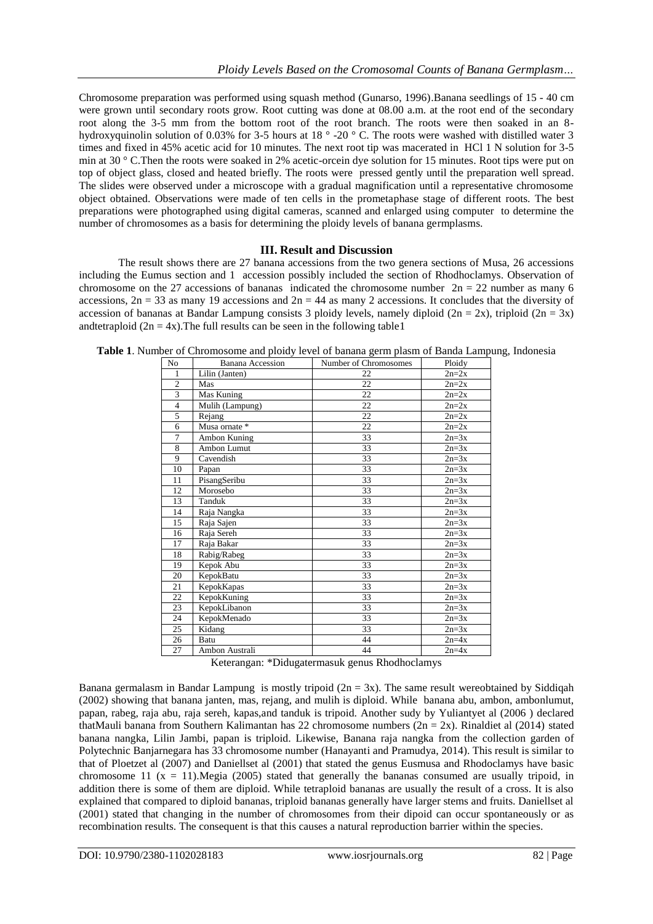Chromosome preparation was performed using squash method (Gunarso, 1996).Banana seedlings of 15 - 40 cm were grown until secondary roots grow. Root cutting was done at 08.00 a.m. at the root end of the secondary root along the 3-5 mm from the bottom root of the root branch. The roots were then soaked in an 8 hydroxyquinolin solution of 0.03% for 3-5 hours at 18 ° -20 ° C. The roots were washed with distilled water 3 times and fixed in 45% acetic acid for 10 minutes. The next root tip was macerated in HCl 1 N solution for 3-5 min at 30 ° C.Then the roots were soaked in 2% acetic-orcein dye solution for 15 minutes. Root tips were put on top of object glass, closed and heated briefly. The roots were pressed gently until the preparation well spread. The slides were observed under a microscope with a gradual magnification until a representative chromosome object obtained. Observations were made of ten cells in the prometaphase stage of different roots. The best preparations were photographed using digital cameras, scanned and enlarged using computer to determine the number of chromosomes as a basis for determining the ploidy levels of banana germplasms.

### **III. Result and Discussion**

The result shows there are 27 banana accessions from the two genera sections of Musa, 26 accessions including the Eumus section and 1 accession possibly included the section of Rhodhoclamys. Observation of chromosome on the 27 accessions of bananas indicated the chromosome number  $2n = 22$  number as many 6 accessions,  $2n = 33$  as many 19 accessions and  $2n = 44$  as many 2 accessions. It concludes that the diversity of accession of bananas at Bandar Lampung consists 3 ploidy levels, namely diploid ( $2n = 2x$ ), triploid ( $2n = 3x$ ) andtetraploid  $(2n = 4x)$ . The full results can be seen in the following table 1

| No             | <b>Banana Accession</b> | Number of Chromosomes | Ploidy  |
|----------------|-------------------------|-----------------------|---------|
| 1              | Lilin (Janten)          | 22                    | $2n=2x$ |
| $\overline{c}$ | Mas                     | 22                    | $2n=2x$ |
| 3              | Mas Kuning              | 22                    | $2n=2x$ |
| $\overline{4}$ | Mulih (Lampung)         | 22                    | $2n=2x$ |
| 5              | Rejang                  | 22                    | $2n=2x$ |
| 6              | Musa ornate *           | 22                    | $2n=2x$ |
| 7              | Ambon Kuning            | 33                    | $2n=3x$ |
| 8              | Ambon Lumut             | 33                    | $2n=3x$ |
| 9              | Cavendish               | 33                    | $2n=3x$ |
| 10             | Papan                   | 33                    | $2n=3x$ |
| 11             | PisangSeribu            | 33                    | $2n=3x$ |
| 12             | Morosebo                | 33                    | $2n=3x$ |
| 13             | Tanduk                  | 33                    | $2n=3x$ |
| 14             | Raja Nangka             | 33                    | $2n=3x$ |
| 15             | Raja Sajen              | 33                    | $2n=3x$ |
| 16             | Raja Sereh              | 33                    | $2n=3x$ |
| 17             | Raja Bakar              | 33                    | $2n=3x$ |
| 18             | Rabig/Rabeg             | 33                    | $2n=3x$ |
| 19             | Kepok Abu               | 33                    | $2n=3x$ |
| 20             | <b>KepokBatu</b>        | 33                    | $2n=3x$ |
| 21             | KepokKapas              | 33                    | $2n=3x$ |
| 22             | KepokKuning             | 33                    | $2n=3x$ |
| 23             | KepokLibanon            | 33                    | $2n=3x$ |
| 24             | KepokMenado             | 33                    | $2n=3x$ |
| 25             | Kidang                  | 33                    | $2n=3x$ |
| 26             | Batu                    | 44                    | $2n=4x$ |
| 27             | Ambon Australi          | 44                    | $2n=4x$ |

**Table 1**. Number of Chromosome and ploidy level of banana germ plasm of Banda Lampung, Indonesia

Keterangan: \*Didugatermasuk genus Rhodhoclamys

Banana germalasm in Bandar Lampung is mostly tripoid  $(2n = 3x)$ . The same result were obtained by Siddiqah (2002) showing that banana janten, mas, rejang, and mulih is diploid. While banana abu, ambon, ambonlumut, papan, rabeg, raja abu, raja sereh, kapas,and tanduk is tripoid. Another sudy by Yuliantyet al (2006 ) declared thatMauli banana from Southern Kalimantan has 22 chromosome numbers ( $2n = 2x$ ). Rinaldiet al (2014) stated banana nangka, Lilin Jambi, papan is triploid. Likewise, Banana raja nangka from the collection garden of Polytechnic Banjarnegara has 33 chromosome number (Hanayanti and Pramudya, 2014). This result is similar to that of Ploetzet al (2007) and Daniellset al (2001) that stated the genus Eusmusa and Rhodoclamys have basic chromosome 11 ( $x = 11$ ). Megia (2005) stated that generally the bananas consumed are usually tripoid, in addition there is some of them are diploid. While tetraploid bananas are usually the result of a cross. It is also explained that compared to diploid bananas, triploid bananas generally have larger stems and fruits. Daniellset al (2001) stated that changing in the number of chromosomes from their dipoid can occur spontaneously or as recombination results. The consequent is that this causes a natural reproduction barrier within the species.